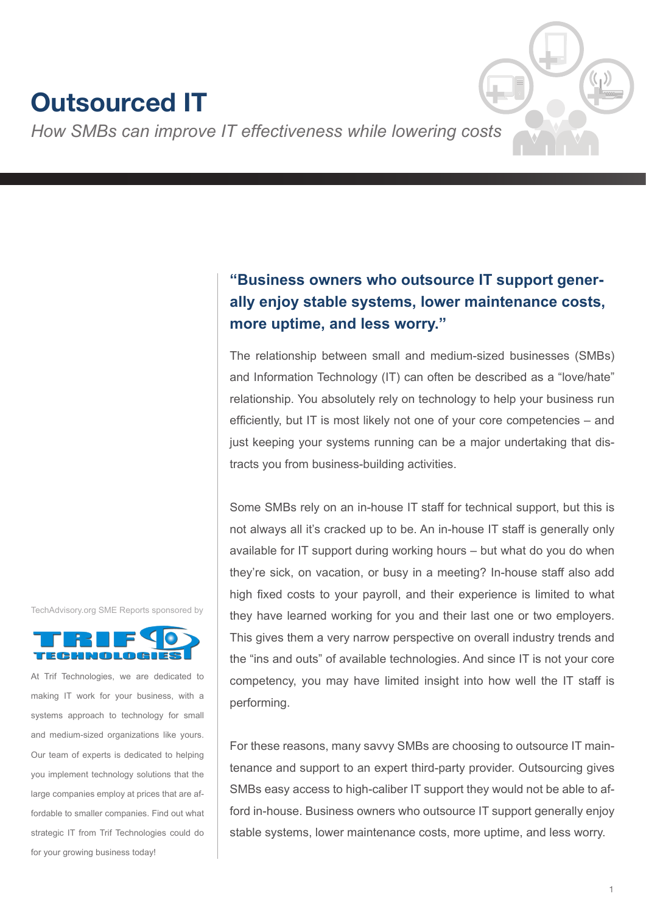# **Outsourced IT**

*How SMBs can improve IT effectiveness while lowering costs*

# **"Business owners who outsource IT support generally enjoy stable systems, lower maintenance costs, more uptime, and less worry."**

The relationship between small and medium-sized businesses (SMBs) and Information Technology (IT) can often be described as a "love/hate" relationship. You absolutely rely on technology to help your business run efficiently, but IT is most likely not one of your core competencies – and just keeping your systems running can be a major undertaking that distracts you from business-building activities.

Some SMBs rely on an in-house IT staff for technical support, but this is not always all it's cracked up to be. An in-house IT staff is generally only available for IT support during working hours – but what do you do when they're sick, on vacation, or busy in a meeting? In-house staff also add high fixed costs to your payroll, and their experience is limited to what they have learned working for you and their last one or two employers. This gives them a very narrow perspective on overall industry trends and the "ins and outs" of available technologies. And since IT is not your core competency, you may have limited insight into how well the IT staff is performing.

For these reasons, many savvy SMBs are choosing to outsource IT maintenance and support to an expert third-party provider. Outsourcing gives SMBs easy access to high-caliber IT support they would not be able to afford in-house. Business owners who outsource IT support generally enjoy stable systems, lower maintenance costs, more uptime, and less worry.





At Trif Technologies, we are dedicated to making IT work for your business, with a systems approach to technology for small and medium-sized organizations like yours. Our team of experts is dedicated to helping you implement technology solutions that the large companies employ at prices that are affordable to smaller companies. Find out what strategic IT from Trif Technologies could do for your growing business today!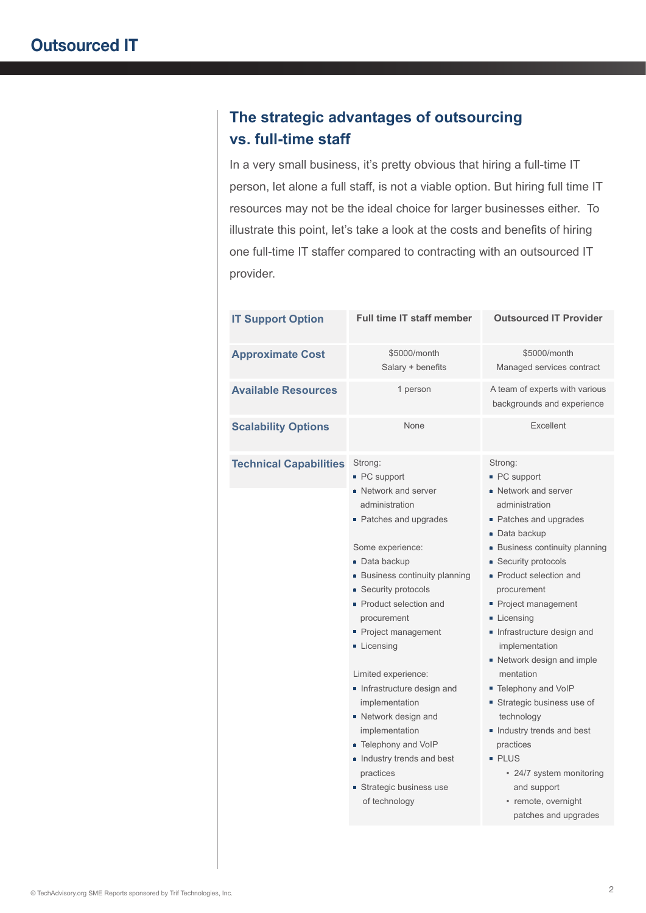# **The strategic advantages of outsourcing vs. full-time staff**

In a very small business, it's pretty obvious that hiring a full-time IT person, let alone a full staff, is not a viable option. But hiring full time IT resources may not be the ideal choice for larger businesses either. To illustrate this point, let's take a look at the costs and benefits of hiring one full-time IT staffer compared to contracting with an outsourced IT provider.

| <b>IT Support Option</b>      | <b>Full time IT staff member</b>                                                                                                                                                                                                                                                                                                                                                                                                                                                                     | <b>Outsourced IT Provider</b>                                                                                                                                                                                                                                                                                                                                                                                                                                                                                                                                         |
|-------------------------------|------------------------------------------------------------------------------------------------------------------------------------------------------------------------------------------------------------------------------------------------------------------------------------------------------------------------------------------------------------------------------------------------------------------------------------------------------------------------------------------------------|-----------------------------------------------------------------------------------------------------------------------------------------------------------------------------------------------------------------------------------------------------------------------------------------------------------------------------------------------------------------------------------------------------------------------------------------------------------------------------------------------------------------------------------------------------------------------|
| <b>Approximate Cost</b>       | \$5000/month<br>Salary + benefits                                                                                                                                                                                                                                                                                                                                                                                                                                                                    | \$5000/month<br>Managed services contract                                                                                                                                                                                                                                                                                                                                                                                                                                                                                                                             |
| <b>Available Resources</b>    | 1 person                                                                                                                                                                                                                                                                                                                                                                                                                                                                                             | A team of experts with various<br>backgrounds and experience                                                                                                                                                                                                                                                                                                                                                                                                                                                                                                          |
| <b>Scalability Options</b>    | None                                                                                                                                                                                                                                                                                                                                                                                                                                                                                                 | Excellent                                                                                                                                                                                                                                                                                                                                                                                                                                                                                                                                                             |
| <b>Technical Capabilities</b> | Strong:<br>• PC support<br>■ Network and server<br>administration<br>• Patches and upgrades<br>Some experience:<br>Data backup<br>■ Business continuity planning<br><b>Security protocols</b><br>Product selection and<br>procurement<br>Project management<br>Licensing<br>Limited experience:<br>Infrastructure design and<br>implementation<br>■ Network design and<br>implementation<br>■ Telephony and VoIP<br>Industry trends and best<br>practices<br>Strategic business use<br>of technology | Strong:<br>■ PC support<br>■ Network and server<br>administration<br>• Patches and upgrades<br>Data backup<br><b>Business continuity planning</b><br>■ Security protocols<br>• Product selection and<br>procurement<br>Project management<br>Licensing<br>Infrastructure design and<br>implementation<br>Network design and imple<br>mentation<br>■ Telephony and VoIP<br>■ Strategic business use of<br>technology<br>Industry trends and best<br>practices<br><b>PLUS</b><br>• 24/7 system monitoring<br>and support<br>• remote, overnight<br>patches and upgrades |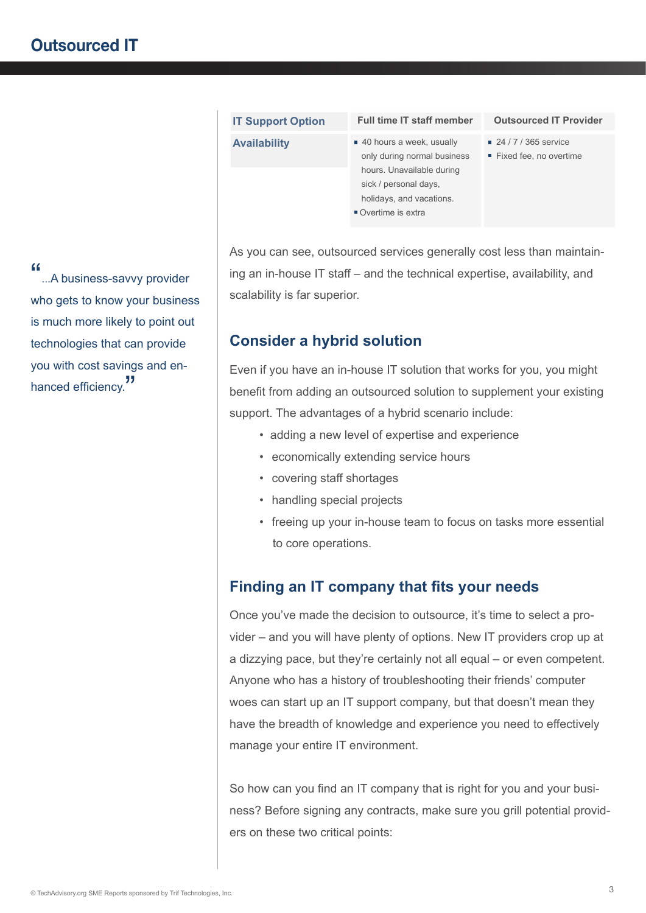| 40 hours a week, usually<br>■ 24 / 7 / 365 service<br><b>Availability</b><br>only during normal business<br>Fixed fee, no overtime<br>hours. Unavailable during<br>sick / personal days,<br>holidays, and vacations.<br>■ Overtime is extra | <b>IT Support Option</b> | <b>Full time IT staff member</b> | <b>Outsourced IT Provider</b> |
|---------------------------------------------------------------------------------------------------------------------------------------------------------------------------------------------------------------------------------------------|--------------------------|----------------------------------|-------------------------------|
|                                                                                                                                                                                                                                             |                          |                                  |                               |

As you can see, outsourced services generally cost less than maintaining an in-house IT staff – and the technical expertise, availability, and scalability is far superior.

### **Consider a hybrid solution**

Even if you have an in-house IT solution that works for you, you might benefit from adding an outsourced solution to supplement your existing support. The advantages of a hybrid scenario include:

- adding a new level of expertise and experience
- economically extending service hours
- covering staff shortages
- handling special projects
- freeing up your in-house team to focus on tasks more essential to core operations.

## **Finding an IT company that fits your needs**

Once you've made the decision to outsource, it's time to select a provider – and you will have plenty of options. New IT providers crop up at a dizzying pace, but they're certainly not all equal – or even competent. Anyone who has a history of troubleshooting their friends' computer woes can start up an IT support company, but that doesn't mean they have the breadth of knowledge and experience you need to effectively manage your entire IT environment.

So how can you find an IT company that is right for you and your business? Before signing any contracts, make sure you grill potential providers on these two critical points:

"...A business-savvy provider who gets to know your business is much more likely to point out technologies that can provide you with cost savings and enhanced efficiency.<sup>"</sup>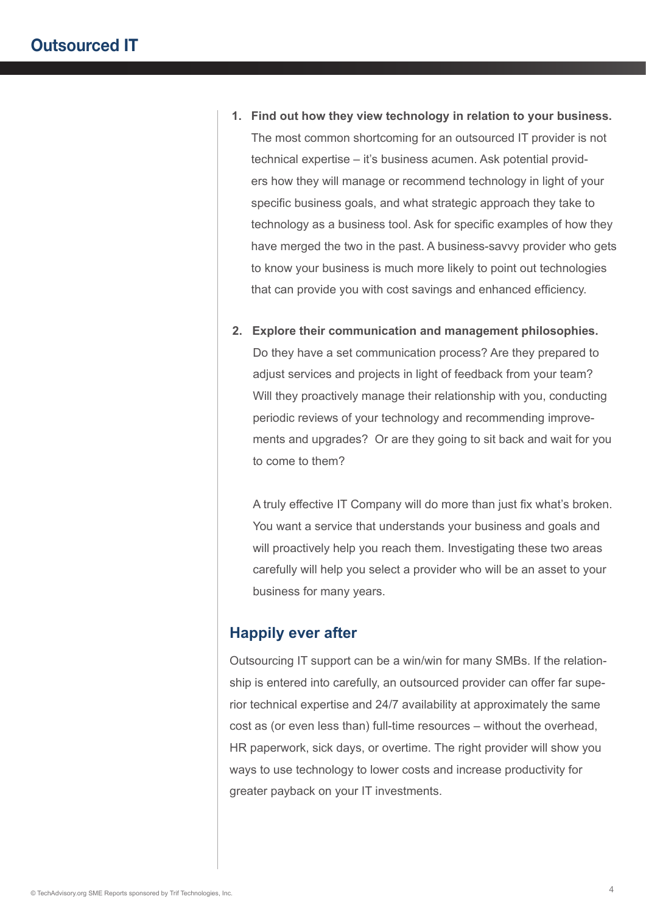- **1. Find out how they view technology in relation to your business.** The most common shortcoming for an outsourced IT provider is not technical expertise – it's business acumen. Ask potential providers how they will manage or recommend technology in light of your specific business goals, and what strategic approach they take to technology as a business tool. Ask for specific examples of how they have merged the two in the past. A business-savvy provider who gets to know your business is much more likely to point out technologies that can provide you with cost savings and enhanced efficiency.
- **2. Explore their communication and management philosophies.** Do they have a set communication process? Are they prepared to adjust services and projects in light of feedback from your team? Will they proactively manage their relationship with you, conducting periodic reviews of your technology and recommending improvements and upgrades? Or are they going to sit back and wait for you to come to them?

A truly effective IT Company will do more than just fix what's broken. You want a service that understands your business and goals and will proactively help you reach them. Investigating these two areas carefully will help you select a provider who will be an asset to your business for many years.

#### **Happily ever after**

Outsourcing IT support can be a win/win for many SMBs. If the relationship is entered into carefully, an outsourced provider can offer far superior technical expertise and 24/7 availability at approximately the same cost as (or even less than) full-time resources – without the overhead, HR paperwork, sick days, or overtime. The right provider will show you ways to use technology to lower costs and increase productivity for greater payback on your IT investments.